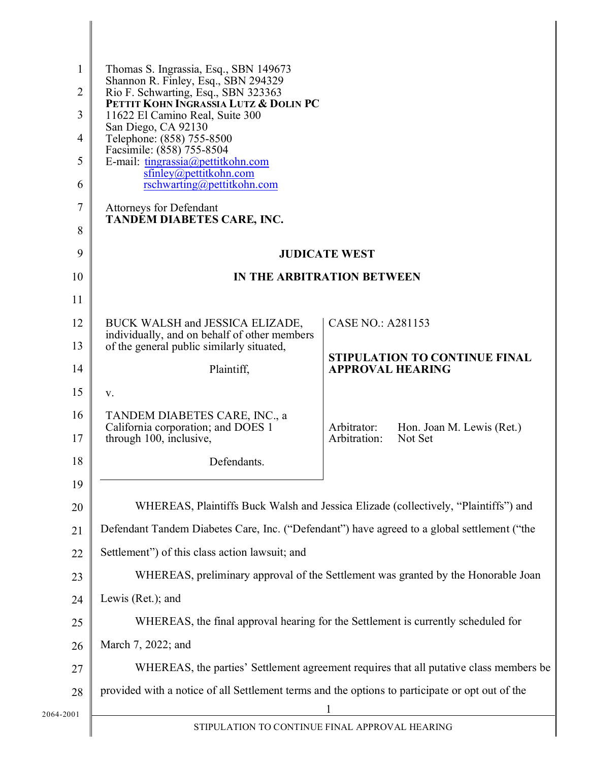| $\mathbf{1}$   | Thomas S. Ingrassia, Esq., SBN 149673                                                           |                                                                     |                                      |
|----------------|-------------------------------------------------------------------------------------------------|---------------------------------------------------------------------|--------------------------------------|
| $\overline{2}$ | Shannon R. Finley, Esq., SBN 294329<br>Rio F. Schwarting, Esq., SBN 323363                      |                                                                     |                                      |
| 3              | PETTIT KOHN INGRASSIA LUTZ & DOLIN PC<br>11622 El Camino Real, Suite 300                        |                                                                     |                                      |
| $\overline{4}$ | San Diego, CA 92130<br>Telephone: (858) 755-8500                                                |                                                                     |                                      |
| 5              | Facsimile: (858) 755-8504<br>E-mail: tingrassia@pettitkohn.com                                  |                                                                     |                                      |
| 6              | sfinley@pettitkohn.com<br>rschwarting@pettitkohn.com                                            |                                                                     |                                      |
| 7              | <b>Attorneys for Defendant</b>                                                                  |                                                                     |                                      |
| 8              | <b>TANDEM DIABETES CARE, INC.</b>                                                               |                                                                     |                                      |
| 9              | <b>JUDICATE WEST</b>                                                                            |                                                                     |                                      |
| 10             | IN THE ARBITRATION BETWEEN                                                                      |                                                                     |                                      |
| 11             |                                                                                                 |                                                                     |                                      |
| 12             | BUCK WALSH and JESSICA ELIZADE,                                                                 | <b>CASE NO.: A281153</b>                                            |                                      |
| 13             | individually, and on behalf of other members<br>of the general public similarly situated,       |                                                                     |                                      |
| 14             | Plaintiff,                                                                                      | <b>APPROVAL HEARING</b>                                             | <b>STIPULATION TO CONTINUE FINAL</b> |
| 15             | V.                                                                                              |                                                                     |                                      |
| 16             | TANDEM DIABETES CARE, INC., a                                                                   |                                                                     |                                      |
| 17             | California corporation; and DOES 1<br>through 100, inclusive,                                   | Arbitrator:<br>Hon. Joan M. Lewis (Ret.)<br>Arbitration:<br>Not Set |                                      |
| 18             | Defendants.                                                                                     |                                                                     |                                      |
| 19             |                                                                                                 |                                                                     |                                      |
| 20             | WHEREAS, Plaintiffs Buck Walsh and Jessica Elizade (collectively, "Plaintiffs") and             |                                                                     |                                      |
| 21             | Defendant Tandem Diabetes Care, Inc. ("Defendant") have agreed to a global settlement ("the     |                                                                     |                                      |
| 22             | Settlement") of this class action lawsuit; and                                                  |                                                                     |                                      |
| 23             | WHEREAS, preliminary approval of the Settlement was granted by the Honorable Joan               |                                                                     |                                      |
| 24             | Lewis (Ret.); and                                                                               |                                                                     |                                      |
| 25             | WHEREAS, the final approval hearing for the Settlement is currently scheduled for               |                                                                     |                                      |
| 26             | March 7, 2022; and                                                                              |                                                                     |                                      |
| 27             | WHEREAS, the parties' Settlement agreement requires that all putative class members be          |                                                                     |                                      |
| 28             | provided with a notice of all Settlement terms and the options to participate or opt out of the |                                                                     |                                      |
| 2064-2001      | STIPULATION TO CONTINUE FINAL APPROVAL HEARING                                                  |                                                                     |                                      |
|                |                                                                                                 |                                                                     |                                      |

II